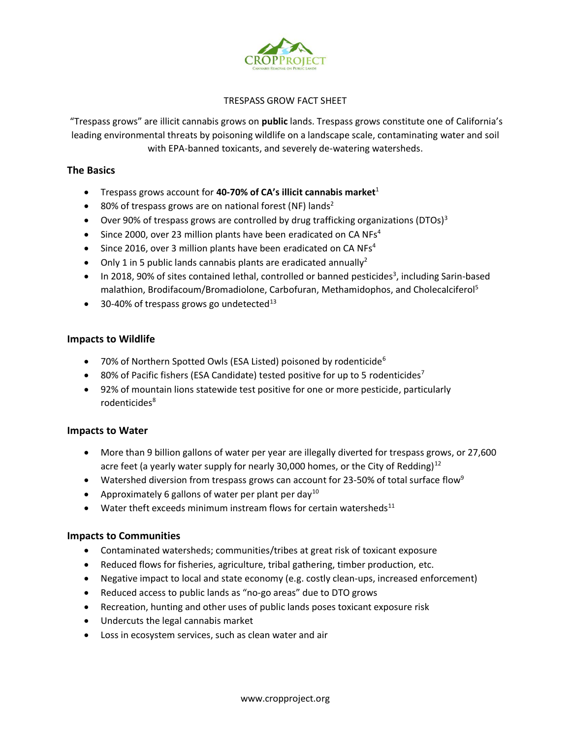

# TRESPASS GROW FACT SHEET

"Trespass grows" are illicit cannabis grows on **public** lands. Trespass grows constitute one of California's leading environmental threats by poisoning wildlife on a landscape scale, contaminating water and soil with EPA-banned toxicants, and severely de-watering watersheds.

# **The Basics**

- Trespass grows account for **40-70% of CA's illicit cannabis market**<sup>1</sup>
- 80% of trespass grows are on national forest (NF) lands<sup>2</sup>
- Over 90% of trespass grows are controlled by drug trafficking organizations (DTOs)<sup>3</sup>
- Since 2000, over 23 million plants have been eradicated on CA NFs<sup>4</sup>
- Since 2016, over 3 million plants have been eradicated on CA NFs<sup>4</sup>
- Only 1 in 5 public lands cannabis plants are eradicated annually<sup>2</sup>
- In 2018, 90% of sites contained lethal, controlled or banned pesticides<sup>3</sup>, including Sarin-based malathion, Brodifacoum/Bromadiolone, Carbofuran, Methamidophos, and Cholecalciferol5
- 30-40% of trespass grows go undetected $^{13}$

# **Impacts to Wildlife**

- 70% of Northern Spotted Owls (ESA Listed) poisoned by rodenticide<sup>6</sup>
- 80% of Pacific fishers (ESA Candidate) tested positive for up to 5 rodenticides<sup>7</sup>
- 92% of mountain lions statewide test positive for one or more pesticide, particularly rodenticides<sup>8</sup>

# **Impacts to Water**

- More than 9 billion gallons of water per year are illegally diverted for trespass grows, or 27,600 acre feet (a yearly water supply for nearly 30,000 homes, or the City of Redding) $12$
- Watershed diversion from trespass grows can account for 23-50% of total surface flow<sup>9</sup>
- Approximately 6 gallons of water per plant per day<sup>10</sup>
- Water theft exceeds minimum instream flows for certain watersheds<sup>11</sup>

# **Impacts to Communities**

- Contaminated watersheds; communities/tribes at great risk of toxicant exposure
- Reduced flows for fisheries, agriculture, tribal gathering, timber production, etc.
- Negative impact to local and state economy (e.g. costly clean-ups, increased enforcement)
- Reduced access to public lands as "no-go areas" due to DTO grows
- Recreation, hunting and other uses of public lands poses toxicant exposure risk
- Undercuts the legal cannabis market
- Loss in ecosystem services, such as clean water and air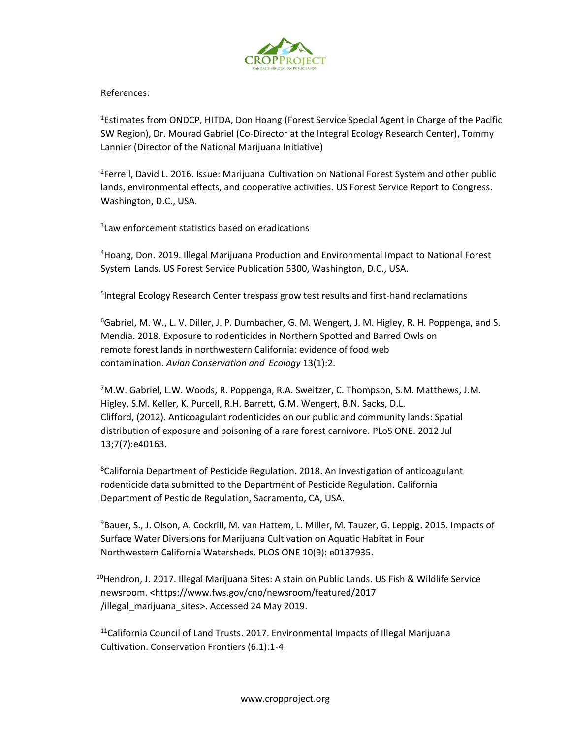

References:

<sup>1</sup>Estimates from ONDCP, HITDA, Don Hoang (Forest Service Special Agent in Charge of the Pacific SW Region), Dr. Mourad Gabriel (Co-Director at the Integral Ecology Research Center), Tommy Lannier (Director of the National Marijuana Initiative)

<sup>2</sup>Ferrell, David L. 2016. Issue: Marijuana Cultivation on National Forest System and other public lands, environmental effects, and cooperative activities. US Forest Service Report to Congress. Washington, D.C., USA.

3 Law enforcement statistics based on eradications

4 Hoang, Don. 2019. Illegal Marijuana Production and Environmental Impact to National Forest System Lands. US Forest Service Publication 5300, Washington, D.C., USA.

<sup>5</sup>Integral Ecology Research Center trespass grow test results and first-hand reclamations

<sup>6</sup>Gabriel, M. W., L. V. Diller, J. P. Dumbacher, G. M. Wengert, J. M. Higley, R. H. Poppenga, and S. Mendia. 2018. Exposure to rodenticides in Northern Spotted and Barred Owls on remote forest lands in northwestern California: evidence of food web contamination. *Avian Conservation and Ecology* 13(1):2.

<sup>7</sup>M.W. Gabriel, L.W. Woods, R. Poppenga, R.A. Sweitzer, C. Thompson, S.M. Matthews, J.M. Higley, S.M. Keller, K. Purcell, R.H. Barrett, G.M. Wengert, B.N. Sacks, D.L. Clifford, (2012). Anticoagulant rodenticides on our public and community lands: Spatial distribution of exposure and poisoning of a rare forest carnivore. PLoS ONE. 2012 Jul 13;7(7):e40163.

<sup>8</sup>California Department of Pesticide Regulation. 2018. An Investigation of anticoagulant rodenticide data submitted to the Department of Pesticide Regulation. California Department of Pesticide Regulation, Sacramento, CA, USA.

<sup>9</sup>Bauer, S., J. Olson, A. Cockrill, M. van Hattem, L. Miller, M. Tauzer, G. Leppig. 2015. Impacts of Surface Water Diversions for Marijuana Cultivation on Aquatic Habitat in Four Northwestern California Watersheds. PLOS ONE 10(9): e0137935.

<sup>10</sup>Hendron, J. 2017. Illegal Marijuana Sites: A stain on Public Lands. US Fish & Wildlife Service newsroom. <https://www.fws.gov/cno/newsroom/featured/2017 /illegal\_marijuana\_sites>. Accessed 24 May 2019.

<sup>11</sup>California Council of Land Trusts. 2017. Environmental Impacts of Illegal Marijuana Cultivation. Conservation Frontiers (6.1):1-4.